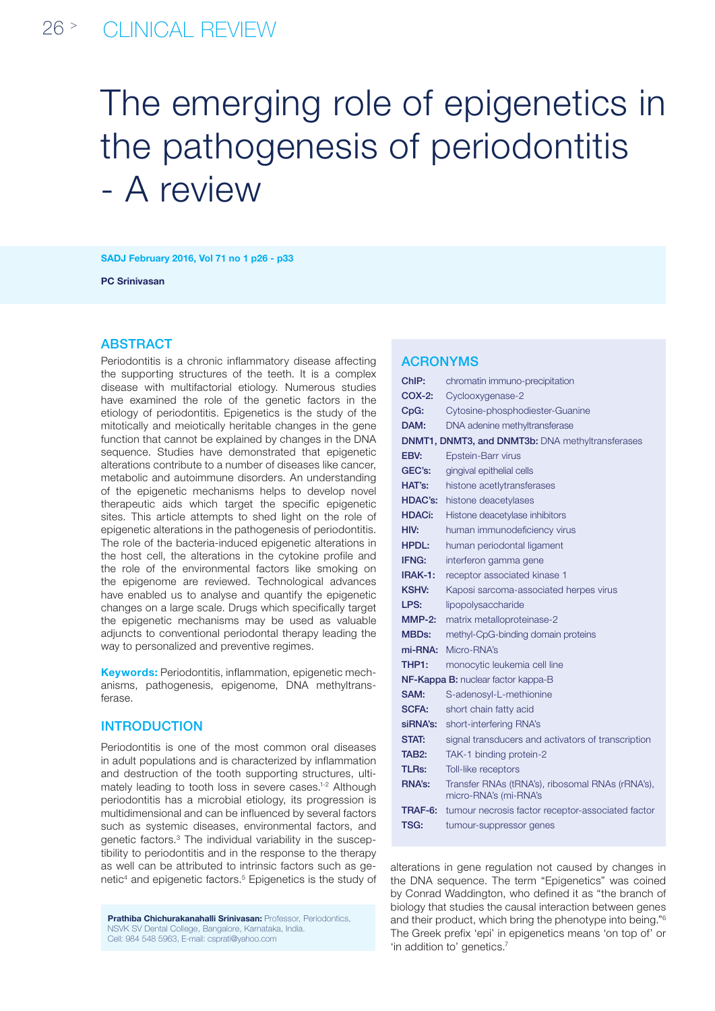# The emerging role of epigenetics in the pathogenesis of periodontitis - A review

SADJ February 2016, Vol 71 no 1 p26 - p33

PC Srinivasan

## **ABSTRACT**

Periodontitis is a chronic inflammatory disease affecting the supporting structures of the teeth. It is a complex disease with multifactorial etiology. Numerous studies have examined the role of the genetic factors in the etiology of periodontitis. Epigenetics is the study of the mitotically and meiotically heritable changes in the gene function that cannot be explained by changes in the DNA sequence. Studies have demonstrated that epigenetic alterations contribute to a number of diseases like cancer, metabolic and autoimmune disorders. An understanding of the epigenetic mechanisms helps to develop novel therapeutic aids which target the specific epigenetic sites. This article attempts to shed light on the role of epigenetic alterations in the pathogenesis of periodontitis. The role of the bacteria-induced epigenetic alterations in the host cell, the alterations in the cytokine profile and the role of the environmental factors like smoking on the epigenome are reviewed. Technological advances have enabled us to analyse and quantify the epigenetic changes on a large scale. Drugs which specifically target the epigenetic mechanisms may be used as valuable adjuncts to conventional periodontal therapy leading the way to personalized and preventive regimes.

Keywords: Periodontitis, inflammation, epigenetic mechanisms, pathogenesis, epigenome, DNA methyltransferase.

## **INTRODUCTION**

Periodontitis is one of the most common oral diseases in adult populations and is characterized by inflammation and destruction of the tooth supporting structures, ultimately leading to tooth loss in severe cases.<sup>1-2</sup> Although periodontitis has a microbial etiology, its progression is multidimensional and can be influenced by several factors such as systemic diseases, environmental factors, and genetic factors.3 The individual variability in the susceptibility to periodontitis and in the response to the therapy as well can be attributed to intrinsic factors such as genetic<sup>4</sup> and epigenetic factors.<sup>5</sup> Epigenetics is the study of

**Prathiba Chichurakanahalli Srinivasan: Professor, Periodontics,** NSVK SV Dental College, Bangalore, Karnataka, India. Cell: 984 548 5963, E-mail: csprati@yahoo.com

## ACRONYMs

| ChIP:                                            | chromatin immuno-precipitation                                            |
|--------------------------------------------------|---------------------------------------------------------------------------|
| COX-2:                                           | Cyclooxygenase-2                                                          |
| CpG:                                             | Cytosine-phosphodiester-Guanine                                           |
| DAM:                                             | DNA adenine methyltransferase                                             |
| DNMT1, DNMT3, and DNMT3b: DNA methyltransferases |                                                                           |
| EBV:                                             | Epstein-Barr virus                                                        |
| GEC's:                                           | gingival epithelial cells                                                 |
| HAT's:                                           | histone acetlytransferases                                                |
| <b>HDAC's:</b>                                   | histone deacetylases                                                      |
| <b>HDACi:</b>                                    | Histone deacetylase inhibitors                                            |
| HIV:                                             | human immunodeficiency virus                                              |
| <b>HPDL:</b>                                     | human periodontal ligament                                                |
| IFNG:                                            | interferon gamma gene                                                     |
| IRAK-1:                                          | receptor associated kinase 1                                              |
| <b>KSHV:</b>                                     | Kaposi sarcoma-associated herpes virus                                    |
| LPS:                                             | lipopolysaccharide                                                        |
| $MMP-2$ :                                        | matrix metalloproteinase-2                                                |
| <b>MBDs:</b>                                     | methyl-CpG-binding domain proteins                                        |
| mi-RNA:                                          | Micro-RNA's                                                               |
| THP1:                                            | monocytic leukemia cell line                                              |
| NF-Kappa B: nuclear factor kappa-B               |                                                                           |
| SAM:                                             | S-adenosyl-L-methionine                                                   |
| <b>SCFA:</b>                                     | short chain fatty acid                                                    |
| siRNA's:                                         | short-interfering RNA's                                                   |
| STAT:                                            | signal transducers and activators of transcription                        |
| TAB2:                                            | TAK-1 binding protein-2                                                   |
| TLRs:                                            | Toll-like receptors                                                       |
| <b>RNA's:</b>                                    | Transfer RNAs (tRNA's), ribosomal RNAs (rRNA's),<br>micro-RNA's (mi-RNA's |
| TRAF-6:                                          | tumour necrosis factor receptor-associated factor                         |
| TSG:                                             | tumour-suppressor genes                                                   |

alterations in gene regulation not caused by changes in the DNA sequence. The term "Epigenetics" was coined by Conrad Waddington, who defined it as "the branch of biology that studies the causal interaction between genes and their product, which bring the phenotype into being."6 The Greek prefix 'epi' in epigenetics means 'on top of' or 'in addition to' genetics.<sup>7</sup>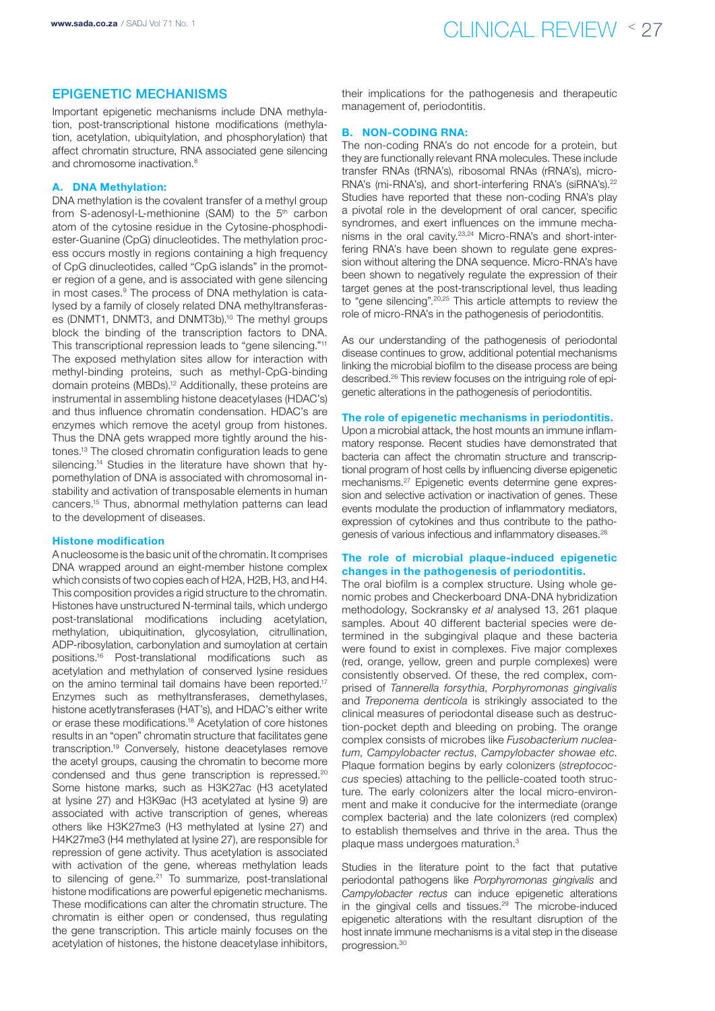## Epigenetic mechanisms

Important epigenetic mechanisms include DNA methylation, post-transcriptional histone modifications (methylation, acetylation, ubiquitylation, and phosphorylation) that affect chromatin structure, RNA associated gene silencing and chromosome inactivation 8

## A. DNA Methylation:

DNA methylation is the covalent transfer of a methyl group from S-adenosyl-L-methionine (SAM) to the 5<sup>th</sup> carbon atom of the cytosine residue in the Cytosine-phosphodiester-Guanine (CpG) dinucleotides. The methylation process occurs mostly in regions containing a high frequency of CpG dinucleotides, called "CpG islands" in the promoter region of a gene, and is associated with gene silencing in most cases.<sup>9</sup> The process of DNA methylation is catalysed by a family of closely related DNA methyltransferases (DNMT1, DNMT3, and DNMT3b).10 The methyl groups block the binding of the transcription factors to DNA. This transcriptional repression leads to "gene silencing."11 The exposed methylation sites allow for interaction with methyl-binding proteins, such as methyl-CpG-binding domain proteins (MBDs).12 Additionally, these proteins are instrumental in assembling histone deacetylases (HDAC's) and thus influence chromatin condensation. HDAC's are enzymes which remove the acetyl group from histones. Thus the DNA gets wrapped more tightly around the histones.13 The closed chromatin configuration leads to gene silencing.<sup>14</sup> Studies in the literature have shown that hypomethylation of DNA is associated with chromosomal instability and activation of transposable elements in human cancers.15 Thus, abnormal methylation patterns can lead to the development of diseases.

### Histone modification

A nucleosome is the basic unit of the chromatin. It comprises DNA wrapped around an eight-member histone complex which consists of two copies each of H2A, H2B, H3, and H4. This composition provides a rigid structure to the chromatin. Histones have unstructured N-terminal tails, which undergo post-translational modifications including acetylation, methylation, ubiquitination, glycosylation, citrullination, ADP-ribosylation, carbonylation and sumoylation at certain positions.16 Post-translational modifications such as acetylation and methylation of conserved lysine residues on the amino terminal tail domains have been reported.<sup>17</sup> Enzymes such as methyltransferases, demethylases, histone acetlytransferases (HAT's), and HDAC's either write or erase these modifications.18 Acetylation of core histones results in an "open" chromatin structure that facilitates gene transcription.19 Conversely, histone deacetylases remove the acetyl groups, causing the chromatin to become more condensed and thus gene transcription is repressed.<sup>20</sup> Some histone marks, such as H3K27ac (H3 acetylated at lysine 27) and H3K9ac (H3 acetylated at lysine 9) are associated with active transcription of genes, whereas others like H3K27me3 (H3 methylated at lysine 27) and H4K27me3 (H4 methylated at lysine 27), are responsible for repression of gene activity. Thus acetylation is associated with activation of the gene, whereas methylation leads to silencing of gene.<sup>21</sup> To summarize, post-translational histone modifications are powerful epigenetic mechanisms. These modifications can alter the chromatin structure. The chromatin is either open or condensed, thus regulating the gene transcription. This article mainly focuses on the acetylation of histones, the histone deacetylase inhibitors,

their implications for the pathogenesis and therapeutic management of, periodontitis.

### B. NON-CODING RNA:

The non-coding RNA's do not encode for a protein, but they are functionally relevant RNA molecules. These include transfer RNAs (tRNA's), ribosomal RNAs (rRNA's), micro-RNA's (mi-RNA's), and short-interfering RNA's (siRNA's).<sup>22</sup> Studies have reported that these non-coding RNA's play a pivotal role in the development of oral cancer, specific syndromes, and exert influences on the immune mechanisms in the oral cavity.23,24 Micro-RNA's and short-interfering RNA's have been shown to regulate gene expression without altering the DNA sequence. Micro-RNA's have been shown to negatively regulate the expression of their target genes at the post-transcriptional level, thus leading to "gene silencing".20,25 This article attempts to review the role of micro-RNA's in the pathogenesis of periodontitis.

As our understanding of the pathogenesis of periodontal disease continues to grow, additional potential mechanisms linking the microbial biofilm to the disease process are being described.26 This review focuses on the intriguing role of epigenetic alterations in the pathogenesis of periodontitis.

#### The role of epigenetic mechanisms in periodontitis.

Upon a microbial attack, the host mounts an immune inflammatory response. Recent studies have demonstrated that bacteria can affect the chromatin structure and transcriptional program of host cells by influencing diverse epigenetic mechanisms.27 Epigenetic events determine gene expression and selective activation or inactivation of genes. These events modulate the production of inflammatory mediators, expression of cytokines and thus contribute to the pathogenesis of various infectious and inflammatory diseases.28

## The role of microbial plaque-induced epigenetic changes in the pathogenesis of periodontitis.

The oral biofilm is a complex structure. Using whole genomic probes and Checkerboard DNA-DNA hybridization methodology, Sockransky *et al* analysed 13, 261 plaque samples. About 40 different bacterial species were determined in the subgingival plaque and these bacteria were found to exist in complexes. Five major complexes (red, orange, yellow, green and purple complexes) were consistently observed. Of these, the red complex, comprised of *Tannerella forsythia*, *Porphyromonas gingivalis*  and *Treponema denticola* is strikingly associated to the clinical measures of periodontal disease such as destruction-pocket depth and bleeding on probing. The orange complex consists of microbes like *Fusobacterium nucleatum*, *Campylobacter rectus*, *Campylobacter showae etc*. Plaque formation begins by early colonizers (*streptococcus* species) attaching to the pellicle-coated tooth structure. The early colonizers alter the local micro-environment and make it conducive for the intermediate (orange complex bacteria) and the late colonizers (red complex) to establish themselves and thrive in the area. Thus the plaque mass undergoes maturation.3

Studies in the literature point to the fact that putative periodontal pathogens like *Porphyromonas gingivalis* and *Campylobacter rectus* can induce epigenetic alterations in the gingival cells and tissues.<sup>29</sup> The microbe-induced epigenetic alterations with the resultant disruption of the host innate immune mechanisms is a vital step in the disease progression.30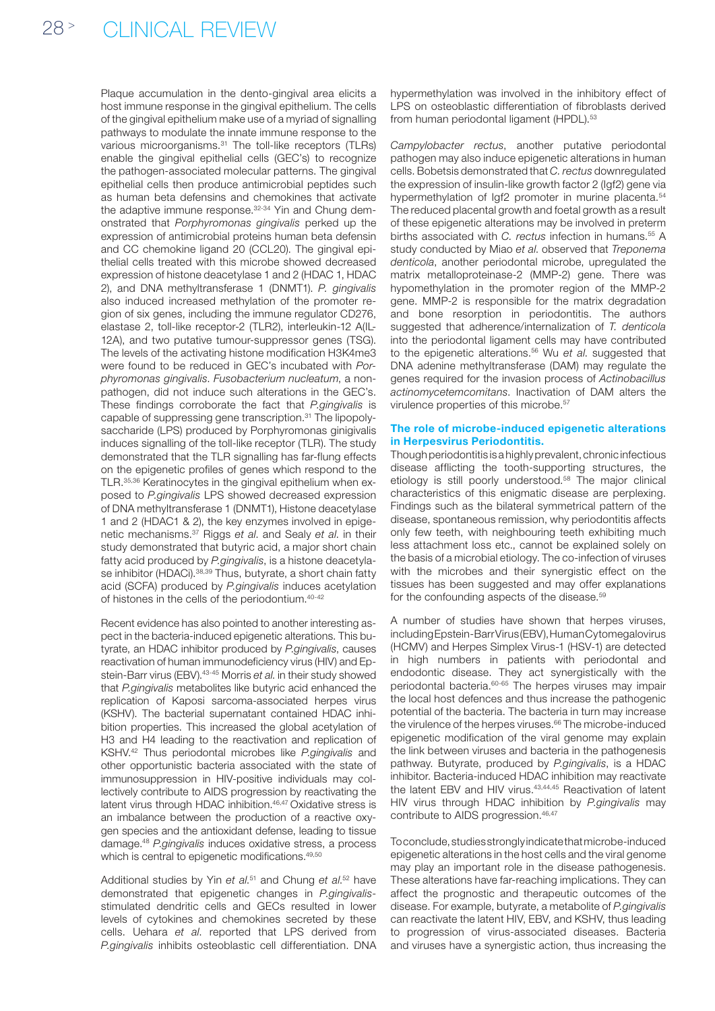Plaque accumulation in the dento-gingival area elicits a host immune response in the gingival epithelium. The cells of the gingival epithelium make use of a myriad of signalling pathways to modulate the innate immune response to the various microorganisms.<sup>31</sup> The toll-like receptors (TLRs) enable the gingival epithelial cells (GEC's) to recognize the pathogen-associated molecular patterns. The gingival epithelial cells then produce antimicrobial peptides such as human beta defensins and chemokines that activate the adaptive immune response.<sup>32-34</sup> Yin and Chung demonstrated that *Porphyromonas gingivalis* perked up the expression of antimicrobial proteins human beta defensin and CC chemokine ligand 20 (CCL20). The gingival epithelial cells treated with this microbe showed decreased expression of histone deacetylase 1 and 2 (HDAC 1, HDAC 2), and DNA methyltransferase 1 (DNMT1). *P. gingivalis* also induced increased methylation of the promoter region of six genes, including the immune regulator CD276, elastase 2, toll-like receptor-2 (TLR2), interleukin-12 A(IL-12A), and two putative tumour-suppressor genes (TSG). The levels of the activating histone modification H3K4me3 were found to be reduced in GEC's incubated with *Porphyromonas gingivalis*. *Fusobacterium nucleatum*, a nonpathogen, did not induce such alterations in the GEC's. These findings corroborate the fact that *P.gingivalis* is capable of suppressing gene transcription.<sup>31</sup> The lipopolysaccharide (LPS) produced by Porphyromonas ginigivalis induces signalling of the toll-like receptor (TLR). The study demonstrated that the TLR signalling has far-flung effects on the epigenetic profiles of genes which respond to the TLR.35,36 Keratinocytes in the gingival epithelium when exposed to *P.gingivalis* LPS showed decreased expression of DNA methyltransferase 1 (DNMT1), Histone deacetylase 1 and 2 (HDAC1 & 2), the key enzymes involved in epigenetic mechanisms.37 Riggs *et al*. and Sealy *et al*. in their study demonstrated that butyric acid, a major short chain fatty acid produced by *P.gingivalis*, is a histone deacetylase inhibitor (HDACi).<sup>38,39</sup> Thus, butyrate, a short chain fatty acid (SCFA) produced by *P.gingivalis* induces acetylation of histones in the cells of the periodontium.40-42

Recent evidence has also pointed to another interesting aspect in the bacteria-induced epigenetic alterations. This butyrate, an HDAC inhibitor produced by *P.gingivalis*, causes reactivation of human immunodeficiency virus (HIV) and Epstein-Barr virus (EBV).43-45 Morris *et al*. in their study showed that *P.gingivalis* metabolites like butyric acid enhanced the replication of Kaposi sarcoma-associated herpes virus (KSHV). The bacterial supernatant contained HDAC inhibition properties. This increased the global acetylation of H3 and H4 leading to the reactivation and replication of KSHV.42 Thus periodontal microbes like *P.gingivalis* and other opportunistic bacteria associated with the state of immunosuppression in HIV-positive individuals may collectively contribute to AIDS progression by reactivating the latent virus through HDAC inhibition.<sup>46,47</sup> Oxidative stress is an imbalance between the production of a reactive oxygen species and the antioxidant defense, leading to tissue damage.48 *P.gingivalis* induces oxidative stress, a process which is central to epigenetic modifications.<sup>49,50</sup>

Additional studies by Yin *et al*.<sup>51</sup> and Chung *et al*.<sup>52</sup> have demonstrated that epigenetic changes in *P.gingivalis*stimulated dendritic cells and GECs resulted in lower levels of cytokines and chemokines secreted by these cells. Uehara *et al*. reported that LPS derived from *P.gingivalis* inhibits osteoblastic cell differentiation. DNA

hypermethylation was involved in the inhibitory effect of LPS on osteoblastic differentiation of fibroblasts derived from human periodontal ligament (HPDL).<sup>53</sup>

*Campylobacter rectus*, another putative periodontal pathogen may also induce epigenetic alterations in human cells. Bobetsis demonstrated that *C. rectus* downregulated the expression of insulin-like growth factor 2 (Igf2) gene via hypermethylation of Igf2 promoter in murine placenta.<sup>54</sup> The reduced placental growth and foetal growth as a result of these epigenetic alterations may be involved in preterm births associated with *C. rectus* infection in humans.<sup>55</sup> A study conducted by Miao *et al*. observed that *Treponema denticola*, another periodontal microbe, upregulated the matrix metalloproteinase-2 (MMP-2) gene. There was hypomethylation in the promoter region of the MMP-2 gene. MMP-2 is responsible for the matrix degradation and bone resorption in periodontitis. The authors suggested that adherence/internalization of *T. denticola*  into the periodontal ligament cells may have contributed to the epigenetic alterations.56 Wu *et al*. suggested that DNA adenine methyltransferase (DAM) may regulate the genes required for the invasion process of *Actinobacillus actinomycetemcomitans*. Inactivation of DAM alters the virulence properties of this microbe.57

## The role of microbe-induced epigenetic alterations in Herpesvirus Periodontitis.

Though periodontitis is a highly prevalent, chronic infectious disease afflicting the tooth-supporting structures, the etiology is still poorly understood.58 The major clinical characteristics of this enigmatic disease are perplexing. Findings such as the bilateral symmetrical pattern of the disease, spontaneous remission, why periodontitis affects only few teeth, with neighbouring teeth exhibiting much less attachment loss etc., cannot be explained solely on the basis of a microbial etiology. The co-infection of viruses with the microbes and their synergistic effect on the tissues has been suggested and may offer explanations for the confounding aspects of the disease.<sup>59</sup>

A number of studies have shown that herpes viruses, including Epstein-Barr Virus (EBV), Human Cytomegalovirus (HCMV) and Herpes Simplex Virus-1 (HSV-1) are detected in high numbers in patients with periodontal and endodontic disease. They act synergistically with the periodontal bacteria.60-65 The herpes viruses may impair the local host defences and thus increase the pathogenic potential of the bacteria. The bacteria in turn may increase the virulence of the herpes viruses.<sup>66</sup> The microbe-induced epigenetic modification of the viral genome may explain the link between viruses and bacteria in the pathogenesis pathway. Butyrate, produced by *P.gingivalis*, is a HDAC inhibitor. Bacteria-induced HDAC inhibition may reactivate the latent EBV and HIV virus.43,44,45 Reactivation of latent HIV virus through HDAC inhibition by *P.gingivalis* may contribute to AIDS progression.<sup>46,47</sup>

To conclude, studies strongly indicate that microbe-induced epigenetic alterations in the host cells and the viral genome may play an important role in the disease pathogenesis. These alterations have far-reaching implications. They can affect the prognostic and therapeutic outcomes of the disease. For example, butyrate, a metabolite of *P.gingivalis*  can reactivate the latent HIV, EBV, and KSHV, thus leading to progression of virus-associated diseases. Bacteria and viruses have a synergistic action, thus increasing the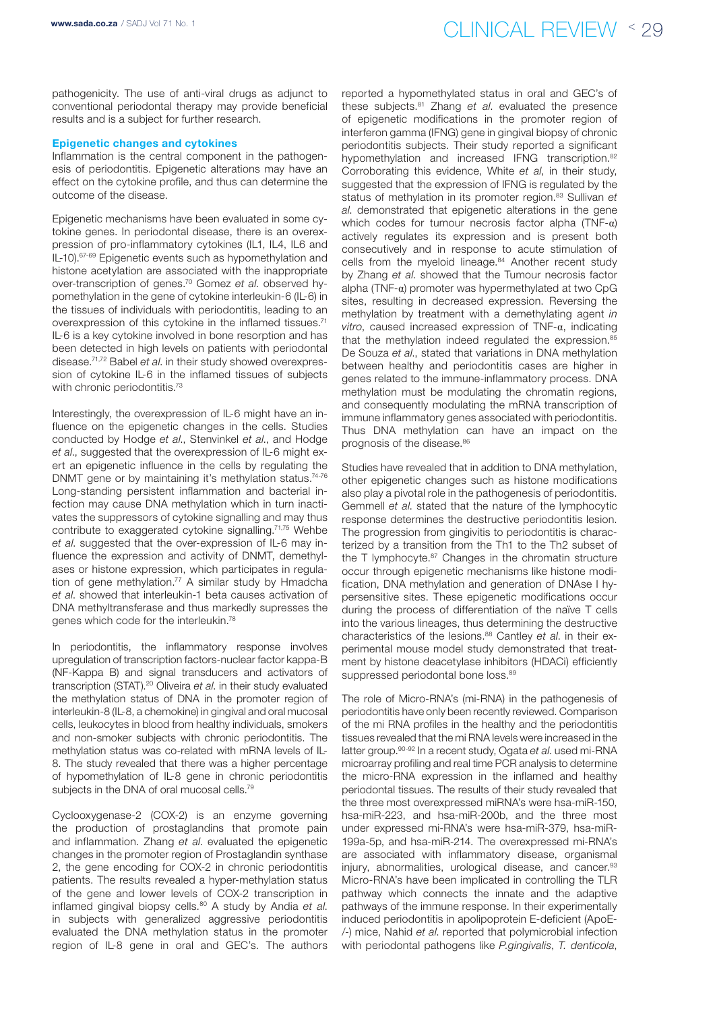pathogenicity. The use of anti-viral drugs as adjunct to conventional periodontal therapy may provide beneficial results and is a subject for further research.

#### Epigenetic changes and cytokines

Inflammation is the central component in the pathogenesis of periodontitis. Epigenetic alterations may have an effect on the cytokine profile, and thus can determine the outcome of the disease.

Epigenetic mechanisms have been evaluated in some cytokine genes. In periodontal disease, there is an overexpression of pro-inflammatory cytokines (IL1, IL4, IL6 and IL-10).67-69 Epigenetic events such as hypomethylation and histone acetylation are associated with the inappropriate over-transcription of genes.70 Gomez *et al*. observed hypomethylation in the gene of cytokine interleukin-6 (IL-6) in the tissues of individuals with periodontitis, leading to an overexpression of this cytokine in the inflamed tissues.<sup>71</sup> IL-6 is a key cytokine involved in bone resorption and has been detected in high levels on patients with periodontal disease.71,72 Babel *et al*. in their study showed overexpression of cytokine IL-6 in the inflamed tissues of subjects with chronic periodontitis.<sup>73</sup>

Interestingly, the overexpression of IL-6 might have an influence on the epigenetic changes in the cells. Studies conducted by Hodge *et al*., Stenvinkel *et al*., and Hodge *et al*., suggested that the overexpression of IL-6 might exert an epigenetic influence in the cells by regulating the DNMT gene or by maintaining it's methylation status.<sup>74-76</sup> Long-standing persistent inflammation and bacterial infection may cause DNA methylation which in turn inactivates the suppressors of cytokine signalling and may thus contribute to exaggerated cytokine signalling.71,75 Wehbe *et al*. suggested that the over-expression of IL-6 may influence the expression and activity of DNMT, demethylases or histone expression, which participates in regulation of gene methylation.<sup>77</sup> A similar study by Hmadcha *et al*. showed that interleukin-1 beta causes activation of DNA methyltransferase and thus markedly supresses the genes which code for the interleukin.78

In periodontitis, the inflammatory response involves upregulation of transcription factors-nuclear factor kappa-B (NF-Kappa B) and signal transducers and activators of transcription (STAT).20 Oliveira *et al*. in their study evaluated the methylation status of DNA in the promoter region of interleukin-8 (IL-8, a chemokine) in gingival and oral mucosal cells, leukocytes in blood from healthy individuals, smokers and non-smoker subjects with chronic periodontitis. The methylation status was co-related with mRNA levels of IL-8. The study revealed that there was a higher percentage of hypomethylation of IL-8 gene in chronic periodontitis subjects in the DNA of oral mucosal cells.<sup>79</sup>

Cyclooxygenase-2 (COX-2) is an enzyme governing the production of prostaglandins that promote pain and inflammation. Zhang *et al*. evaluated the epigenetic changes in the promoter region of Prostaglandin synthase 2, the gene encoding for COX-2 in chronic periodontitis patients. The results revealed a hyper-methylation status of the gene and lower levels of COX-2 transcription in inflamed gingival biopsy cells.80 A study by Andia *et al*. in subjects with generalized aggressive periodontitis evaluated the DNA methylation status in the promoter region of IL-8 gene in oral and GEC's. The authors

reported a hypomethylated status in oral and GEC's of these subjects.81 Zhang *et al*. evaluated the presence of epigenetic modifications in the promoter region of interferon gamma (IFNG) gene in gingival biopsy of chronic periodontitis subjects. Their study reported a significant hypomethylation and increased IFNG transcription.<sup>82</sup> Corroborating this evidence, White *et al*, in their study, suggested that the expression of IFNG is regulated by the status of methylation in its promoter region.<sup>83</sup> Sullivan *et al*. demonstrated that epigenetic alterations in the gene which codes for tumour necrosis factor alpha (TNF- $\alpha$ ) actively regulates its expression and is present both consecutively and in response to acute stimulation of cells from the myeloid lineage.<sup>84</sup> Another recent study by Zhang *et al*. showed that the Tumour necrosis factor alpha (TNF-α) promoter was hypermethylated at two CpG sites, resulting in decreased expression. Reversing the methylation by treatment with a demethylating agent *in vitro*, caused increased expression of TNF-α, indicating that the methylation indeed regulated the expression.<sup>85</sup> De Souza *et al*., stated that variations in DNA methylation between healthy and periodontitis cases are higher in genes related to the immune-inflammatory process. DNA methylation must be modulating the chromatin regions, and consequently modulating the mRNA transcription of immune inflammatory genes associated with periodontitis. Thus DNA methylation can have an impact on the prognosis of the disease.<sup>86</sup>

Studies have revealed that in addition to DNA methylation, other epigenetic changes such as histone modifications also play a pivotal role in the pathogenesis of periodontitis. Gemmell *et al*. stated that the nature of the lymphocytic response determines the destructive periodontitis lesion. The progression from gingivitis to periodontitis is characterized by a transition from the Th1 to the Th2 subset of the T lymphocyte.<sup>87</sup> Changes in the chromatin structure occur through epigenetic mechanisms like histone modification, DNA methylation and generation of DNAse I hypersensitive sites. These epigenetic modifications occur during the process of differentiation of the naïve T cells into the various lineages, thus determining the destructive characteristics of the lesions.88 Cantley *et al*. in their experimental mouse model study demonstrated that treatment by histone deacetylase inhibitors (HDACi) efficiently suppressed periodontal bone loss.<sup>89</sup>

The role of Micro-RNA's (mi-RNA) in the pathogenesis of periodontitis have only been recently reviewed. Comparison of the mi RNA profiles in the healthy and the periodontitis tissues revealed that the mi RNA levels were increased in the latter group.90-92 In a recent study, Ogata *et al*. used mi-RNA microarray profiling and real time PCR analysis to determine the micro-RNA expression in the inflamed and healthy periodontal tissues. The results of their study revealed that the three most overexpressed miRNA's were hsa-miR-150, hsa-miR-223, and hsa-miR-200b, and the three most under expressed mi-RNA's were hsa-miR-379, hsa-miR-199a-5p, and hsa-miR-214. The overexpressed mi-RNA's are associated with inflammatory disease, organismal injury, abnormalities, urological disease, and cancer.<sup>93</sup> Micro-RNA's have been implicated in controlling the TLR pathway which connects the innate and the adaptive pathways of the immune response. In their experimentally induced periodontitis in apolipoprotein E-deficient (ApoE- /-) mice, Nahid *et al*. reported that polymicrobial infection with periodontal pathogens like *P.gingivalis*, *T. denticola*,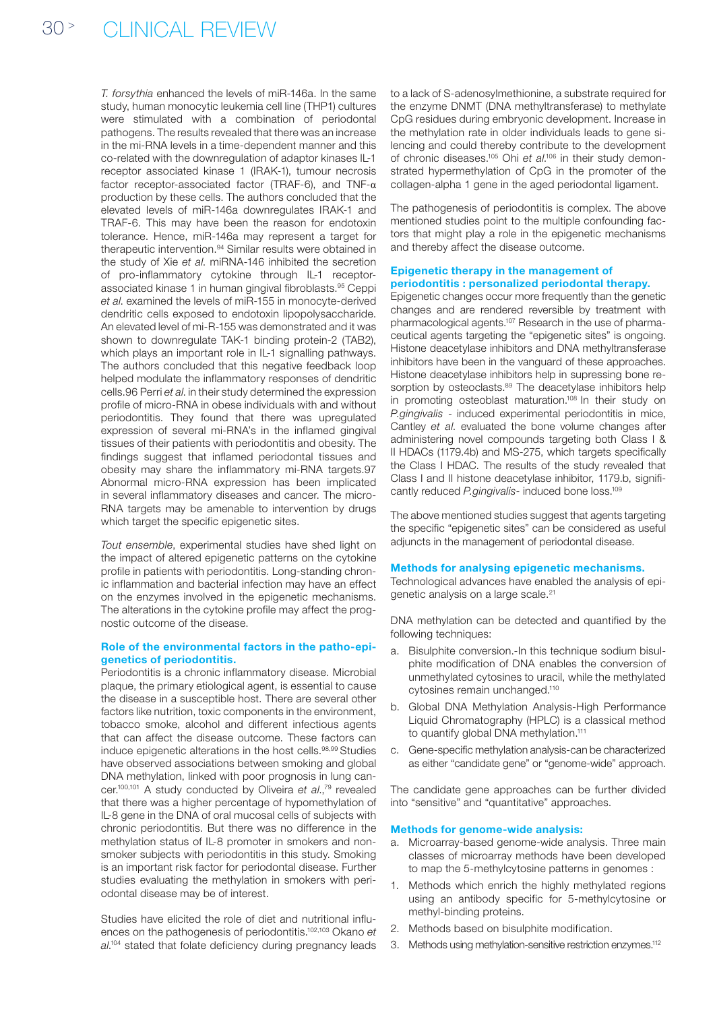*T. forsythia* enhanced the levels of miR-146a. In the same study, human monocytic leukemia cell line (THP1) cultures were stimulated with a combination of periodontal pathogens. The results revealed that there was an increase in the mi-RNA levels in a time-dependent manner and this co-related with the downregulation of adaptor kinases IL-1 receptor associated kinase 1 (IRAK-1), tumour necrosis factor receptor-associated factor (TRAF-6), and TNF- $\alpha$ production by these cells. The authors concluded that the elevated levels of miR-146a downregulates IRAK-1 and TRAF-6. This may have been the reason for endotoxin tolerance. Hence, miR-146a may represent a target for therapeutic intervention.94 Similar results were obtained in the study of Xie *et al*. miRNA-146 inhibited the secretion of pro-inflammatory cytokine through IL-1 receptorassociated kinase 1 in human gingival fibroblasts.95 Ceppi *et al*. examined the levels of miR-155 in monocyte-derived dendritic cells exposed to endotoxin lipopolysaccharide. An elevated level of mi-R-155 was demonstrated and it was shown to downregulate TAK-1 binding protein-2 (TAB2), which plays an important role in IL-1 signalling pathways. The authors concluded that this negative feedback loop helped modulate the inflammatory responses of dendritic cells.96 Perri *et al*. in their study determined the expression profile of micro-RNA in obese individuals with and without periodontitis. They found that there was upregulated expression of several mi-RNA's in the inflamed gingival tissues of their patients with periodontitis and obesity. The findings suggest that inflamed periodontal tissues and obesity may share the inflammatory mi-RNA targets.97 Abnormal micro-RNA expression has been implicated in several inflammatory diseases and cancer. The micro-RNA targets may be amenable to intervention by drugs which target the specific epigenetic sites.

*Tout ensemble*, experimental studies have shed light on the impact of altered epigenetic patterns on the cytokine profile in patients with periodontitis. Long-standing chronic inflammation and bacterial infection may have an effect on the enzymes involved in the epigenetic mechanisms. The alterations in the cytokine profile may affect the prognostic outcome of the disease.

## Role of the environmental factors in the patho-epigenetics of periodontitis.

Periodontitis is a chronic inflammatory disease. Microbial plaque, the primary etiological agent, is essential to cause the disease in a susceptible host. There are several other factors like nutrition, toxic components in the environment, tobacco smoke, alcohol and different infectious agents that can affect the disease outcome. These factors can induce epigenetic alterations in the host cells.<sup>98,99</sup> Studies have observed associations between smoking and global DNA methylation, linked with poor prognosis in lung cancer.100,101 A study conducted by Oliveira *et al*.,79 revealed that there was a higher percentage of hypomethylation of IL-8 gene in the DNA of oral mucosal cells of subjects with chronic periodontitis. But there was no difference in the methylation status of IL-8 promoter in smokers and nonsmoker subjects with periodontitis in this study. Smoking is an important risk factor for periodontal disease. Further studies evaluating the methylation in smokers with periodontal disease may be of interest.

Studies have elicited the role of diet and nutritional influences on the pathogenesis of periodontitis.102,103 Okano *et al*. 104 stated that folate deficiency during pregnancy leads to a lack of S-adenosylmethionine, a substrate required for the enzyme DNMT (DNA methyltransferase) to methylate CpG residues during embryonic development. Increase in the methylation rate in older individuals leads to gene silencing and could thereby contribute to the development of chronic diseases.105 Ohi *et al*. 106 in their study demonstrated hypermethylation of CpG in the promoter of the collagen-alpha 1 gene in the aged periodontal ligament.

The pathogenesis of periodontitis is complex. The above mentioned studies point to the multiple confounding factors that might play a role in the epigenetic mechanisms and thereby affect the disease outcome.

### Epigenetic therapy in the management of periodontitis : personalized periodontal therapy.

Epigenetic changes occur more frequently than the genetic changes and are rendered reversible by treatment with pharmacological agents.107 Research in the use of pharmaceutical agents targeting the "epigenetic sites" is ongoing. Histone deacetylase inhibitors and DNA methyltransferase inhibitors have been in the vanguard of these approaches. Histone deacetylase inhibitors help in supressing bone resorption by osteoclasts.<sup>89</sup> The deacetylase inhibitors help in promoting osteoblast maturation.108 In their study on *P.gingivalis* - induced experimental periodontitis in mice, Cantley *et al*. evaluated the bone volume changes after administering novel compounds targeting both Class I & II HDACs (1179.4b) and MS-275, which targets specifically the Class I HDAC. The results of the study revealed that Class I and II histone deacetylase inhibitor, 1179.b, significantly reduced *P.gingivalis*- induced bone loss.109

The above mentioned studies suggest that agents targeting the specific "epigenetic sites" can be considered as useful adjuncts in the management of periodontal disease.

### Methods for analysing epigenetic mechanisms.

Technological advances have enabled the analysis of epigenetic analysis on a large scale.<sup>21</sup>

DNA methylation can be detected and quantified by the following techniques:

- a. Bisulphite conversion.-In this technique sodium bisulphite modification of DNA enables the conversion of unmethylated cytosines to uracil, while the methylated cytosines remain unchanged.110
- b. Global DNA Methylation Analysis-High Performance Liquid Chromatography (HPLC) is a classical method to quantify global DNA methylation.<sup>111</sup>
- c. Gene-specific methylation analysis-can be characterized as either "candidate gene" or "genome-wide" approach.

The candidate gene approaches can be further divided into "sensitive" and "quantitative" approaches.

#### Methods for genome-wide analysis:

- a. Microarray-based genome-wide analysis. Three main classes of microarray methods have been developed to map the 5-methylcytosine patterns in genomes :
- 1. Methods which enrich the highly methylated regions using an antibody specific for 5-methylcytosine or methyl-binding proteins.
- 2. Methods based on bisulphite modification.
- 3. Methods using methylation-sensitive restriction enzymes.<sup>112</sup>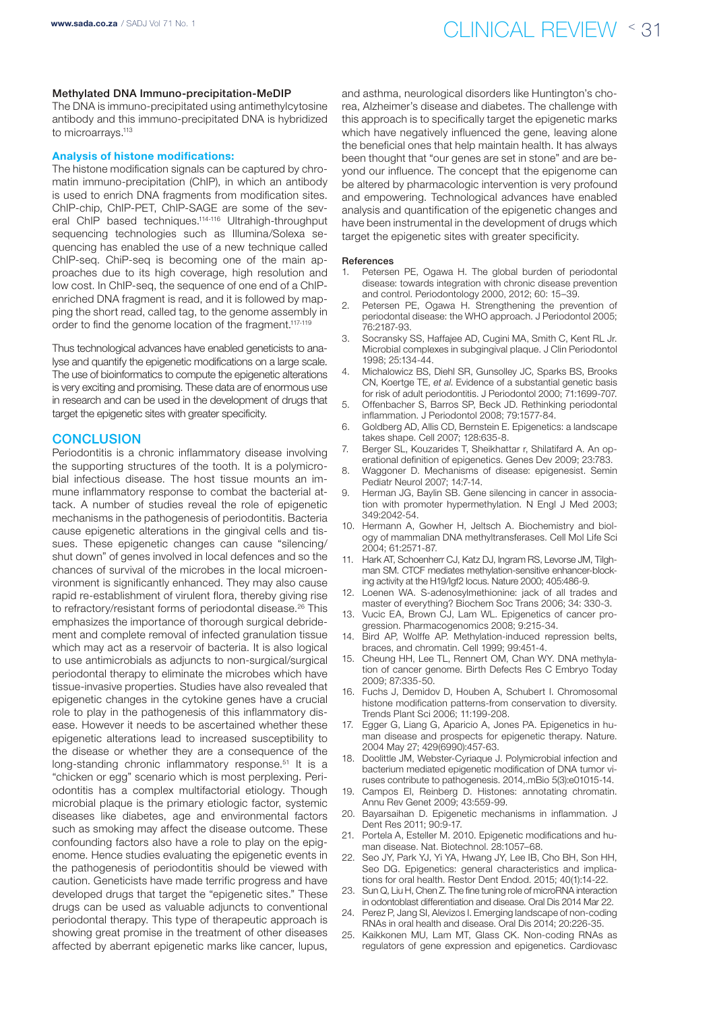#### Methylated DNA Immuno-precipitation-MeDIP

The DNA is immuno-precipitated using antimethylcytosine antibody and this immuno-precipitated DNA is hybridized to microarrays.<sup>113</sup>

#### Analysis of histone modifications:

The histone modification signals can be captured by chromatin immuno-precipitation (ChIP), in which an antibody is used to enrich DNA fragments from modification sites. ChIP-chip, ChIP-PET, ChIP-SAGE are some of the several ChIP based techniques.114-116 Ultrahigh-throughput sequencing technologies such as Illumina/Solexa sequencing has enabled the use of a new technique called ChIP-seq. ChiP-seq is becoming one of the main approaches due to its high coverage, high resolution and low cost. In ChIP-seq, the sequence of one end of a ChIPenriched DNA fragment is read, and it is followed by mapping the short read, called tag, to the genome assembly in order to find the genome location of the fragment.<sup>117-119</sup>

Thus technological advances have enabled geneticists to analyse and quantify the epigenetic modifications on a large scale. The use of bioinformatics to compute the epigenetic alterations is very exciting and promising. These data are of enormous use in research and can be used in the development of drugs that target the epigenetic sites with greater specificity.

## **CONCLUSION**

Periodontitis is a chronic inflammatory disease involving the supporting structures of the tooth. It is a polymicrobial infectious disease. The host tissue mounts an immune inflammatory response to combat the bacterial attack. A number of studies reveal the role of epigenetic mechanisms in the pathogenesis of periodontitis. Bacteria cause epigenetic alterations in the gingival cells and tissues. These epigenetic changes can cause "silencing/ shut down" of genes involved in local defences and so the chances of survival of the microbes in the local microenvironment is significantly enhanced. They may also cause rapid re-establishment of virulent flora, thereby giving rise to refractory/resistant forms of periodontal disease.<sup>26</sup> This emphasizes the importance of thorough surgical debridement and complete removal of infected granulation tissue which may act as a reservoir of bacteria. It is also logical to use antimicrobials as adjuncts to non-surgical/surgical periodontal therapy to eliminate the microbes which have tissue-invasive properties. Studies have also revealed that epigenetic changes in the cytokine genes have a crucial role to play in the pathogenesis of this inflammatory disease. However it needs to be ascertained whether these epigenetic alterations lead to increased susceptibility to the disease or whether they are a consequence of the long-standing chronic inflammatory response.<sup>51</sup> It is a "chicken or egg" scenario which is most perplexing. Periodontitis has a complex multifactorial etiology. Though microbial plaque is the primary etiologic factor, systemic diseases like diabetes, age and environmental factors such as smoking may affect the disease outcome. These confounding factors also have a role to play on the epigenome. Hence studies evaluating the epigenetic events in the pathogenesis of periodontitis should be viewed with caution. Geneticists have made terrific progress and have developed drugs that target the "epigenetic sites." These drugs can be used as valuable adjuncts to conventional periodontal therapy. This type of therapeutic approach is showing great promise in the treatment of other diseases affected by aberrant epigenetic marks like cancer, lupus,

and asthma, neurological disorders like Huntington's chorea, Alzheimer's disease and diabetes. The challenge with this approach is to specifically target the epigenetic marks which have negatively influenced the gene, leaving alone the beneficial ones that help maintain health. It has always been thought that "our genes are set in stone" and are beyond our influence. The concept that the epigenome can be altered by pharmacologic intervention is very profound and empowering. Technological advances have enabled analysis and quantification of the epigenetic changes and have been instrumental in the development of drugs which target the epigenetic sites with greater specificity.

#### **References**

- Petersen PE, Ogawa H. The global burden of periodontal disease: towards integration with chronic disease prevention and control. Periodontology 2000, 2012; 60: 15–39.
- 2. Petersen PE, Ogawa H. Strengthening the prevention of periodontal disease: the WHO approach. J Periodontol 2005; 76:2187-93.
- 3. Socransky SS, Haffajee AD, Cugini MA, Smith C, Kent RL Jr. Microbial complexes in subgingival plaque. J Clin Periodontol 1998; 25:134-44.
- 4. Michalowicz BS, Diehl SR, Gunsolley JC, Sparks BS, Brooks CN, Koertge TE, *et al*. Evidence of a substantial genetic basis for risk of adult periodontitis. J Periodontol 2000; 71:1699-707.
- 5. Offenbacher S, Barros SP, Beck JD. Rethinking periodontal inflammation. J Periodontol 2008; 79:1577-84.
- 6. Goldberg AD, Allis CD, Bernstein E. Epigenetics: a landscape takes shape. Cell 2007; 128:635-8.
- 7. Berger SL, Kouzarides T, Sheikhattar r, Shilatifard A. An operational definition of epigenetics. Genes Dev 2009; 23:783.
- Waggoner D. Mechanisms of disease: epigenesist. Semin Pediatr Neurol 2007; 14:7-14.
- 9. Herman JG, Baylin SB. Gene silencing in cancer in association with promoter hypermethylation. N Engl J Med 2003; 349:2042-54.
- Hermann A, Gowher H, Jeltsch A, Biochemistry and biology of mammalian DNA methyltransferases. Cell Mol Life Sci 2004; 61:2571-87.
- 11. Hark AT, Schoenherr CJ, Katz DJ, Ingram RS, Levorse JM, Tilghman SM. CTCF mediates methylation-sensitive enhancer-blocking activity at the H19/Igf2 locus. Nature 2000; 405:486-9.
- 12. Loenen WA. S-adenosylmethionine: jack of all trades and master of everything? Biochem Soc Trans 2006; 34: 330-3.
- 13. Vucic EA, Brown CJ, Lam WL. Epigenetics of cancer progression. Pharmacogenomics 2008; 9:215-34.
- Bird AP, Wolffe AP. Methylation-induced repression belts, braces, and chromatin. Cell 1999; 99:451-4.
- 15. Cheung HH, Lee TL, Rennert OM, Chan WY. DNA methylation of cancer genome. Birth Defects Res C Embryo Today 2009; 87:335-50.
- 16. Fuchs J, Demidov D, Houben A, Schubert I. Chromosomal histone modification patterns-from conservation to diversity. Trends Plant Sci 2006; 11:199-208.
- 17. Egger G, Liang G, Aparicio A, Jones PA. Epigenetics in human disease and prospects for epigenetic therapy. Nature. 2004 May 27; 429(6990):457-63.
- 18. Doolittle JM, Webster-Cyriaque J. Polymicrobial infection and bacterium mediated epigenetic modification of DNA tumor viruses contribute to pathogenesis. 2014,.mBio 5(3):e01015-14.
- Campos EI, Reinberg D. Histones: annotating chromatin. Annu Rev Genet 2009; 43:559-99.
- 20. Bayarsaihan D. Epigenetic mechanisms in inflammation. J Dent Res 2011; 90:9-17.
- 21. Portela A, Esteller M. 2010. Epigenetic modifications and human disease. Nat. Biotechnol. 28:1057–68.
- 22. Seo JY, Park YJ, Yi YA, Hwang JY, Lee IB, Cho BH, Son HH, Seo DG. Epigenetics: general characteristics and implications for oral health. Restor Dent Endod. 2015; 40(1):14-22.
- 23. Sun Q, Liu H, Chen Z. The fine tuning role of microRNA interaction in odontoblast differentiation and disease. Oral Dis 2014 Mar 22.
- 24. Perez P, Jang SI, Alevizos I. Emerging landscape of non-coding RNAs in oral health and disease. Oral Dis 2014; 20:226-35.
- 25. Kaikkonen MU, Lam MT, Glass CK. Non-coding RNAs as regulators of gene expression and epigenetics. Cardiovasc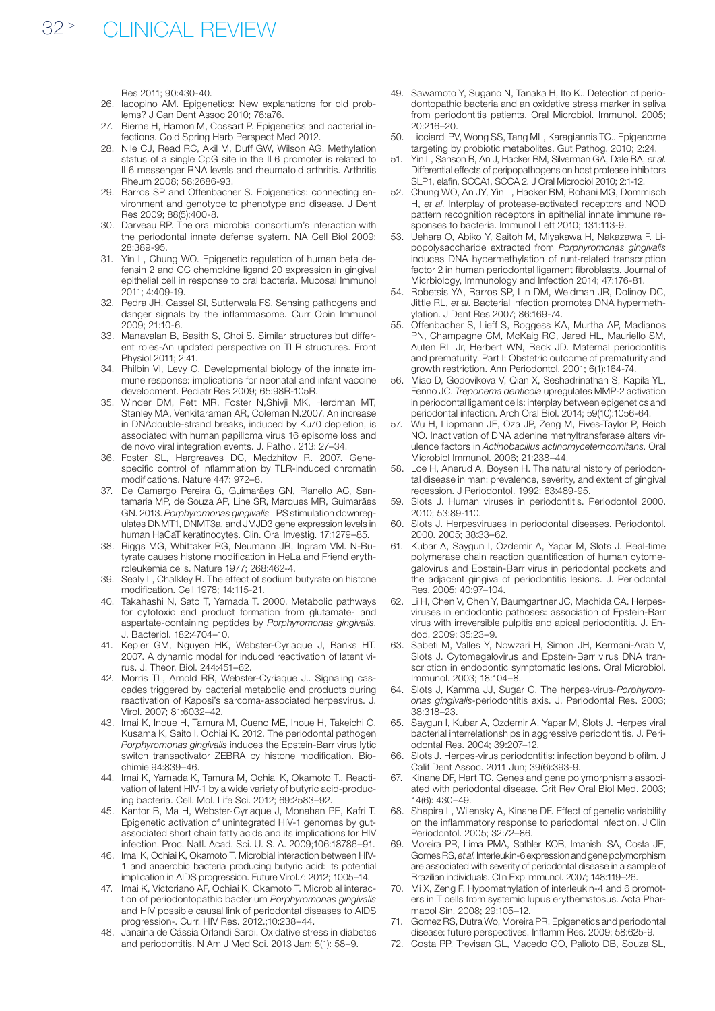Res 2011; 90:430-40.

- 26. Iacopino AM. Epigenetics: New explanations for old problems? J Can Dent Assoc 2010; 76:a76.
- 27. Bierne H, Hamon M, Cossart P. Epigenetics and bacterial infections. Cold Spring Harb Perspect Med 2012.
- 28. Nile CJ, Read RC, Akil M, Duff GW, Wilson AG. Methylation status of a single CpG site in the IL6 promoter is related to IL6 messenger RNA levels and rheumatoid arthritis. Arthritis Rheum 2008; 58:2686-93.
- 29. Barros SP and Offenbacher S. Epigenetics: connecting environment and genotype to phenotype and disease. J Dent Res 2009; 88(5):400-8.
- 30. Darveau RP. The oral microbial consortium's interaction with the periodontal innate defense system. NA Cell Biol 2009; 28:389-95.
- 31. Yin L, Chung WO. Epigenetic regulation of human beta defensin 2 and CC chemokine ligand 20 expression in gingival epithelial cell in response to oral bacteria. Mucosal Immunol 2011; 4:409-19.
- 32. Pedra JH, Cassel SI, Sutterwala FS. Sensing pathogens and danger signals by the inflammasome. Curr Opin Immunol 2009; 21:10-6.
- 33. Manavalan B, Basith S, Choi S. Similar structures but different roles-An updated perspective on TLR structures. Front Physiol 2011; 2:41.
- 34. Philbin VI, Levy O. Developmental biology of the innate immune response: implications for neonatal and infant vaccine development. Pediatr Res 2009; 65:98R-105R.
- 35. Winder DM, Pett MR, Foster N,Shivji MK, Herdman MT, Stanley MA, Venkitaraman AR, Coleman N.2007. An increase in DNAdouble-strand breaks, induced by Ku70 depletion, is associated with human papilloma virus 16 episome loss and de novo viral integration events. J. Pathol. 213: 27–34.
- 36. Foster SL, Hargreaves DC, Medzhitov R. 2007. Genespecific control of inflammation by TLR-induced chromatin modifications. Nature 447: 972–8.
- 37. De Camargo Pereira G, Guimarães GN, Planello AC, Santamaria MP, de Souza AP, Line SR, Marques MR, Guimarães GN. 2013. *Porphyromonas gingivalis* LPS stimulation downregulates DNMT1, DNMT3a, and JMJD3 gene expression levels in human HaCaT keratinocytes. Clin. Oral Investig. 17:1279–85.
- 38. Riggs MG, Whittaker RG, Neumann JR, Ingram VM. N-Butyrate causes histone modification in HeLa and Friend erythroleukemia cells. Nature 1977; 268:462-4.
- 39. Sealy L, Chalkley R. The effect of sodium butyrate on histone modification. Cell 1978; 14:115-21.
- 40. Takahashi N, Sato T, Yamada T. 2000. Metabolic pathways for cytotoxic end product formation from glutamate- and aspartate-containing peptides by *Porphyromonas gingivalis*. J. Bacteriol. 182:4704–10.
- 41. Kepler GM, Nguyen HK, Webster-Cyriaque J, Banks HT. 2007. A dynamic model for induced reactivation of latent virus. J. Theor. Biol. 244:451–62.
- 42. Morris TL, Arnold RR, Webster-Cyriaque J.. Signaling cascades triggered by bacterial metabolic end products during reactivation of Kaposi's sarcoma-associated herpesvirus. J. Virol. 2007; 81:6032–42.
- 43. Imai K, Inoue H, Tamura M, Cueno ME, Inoue H, Takeichi O, Kusama K, Saito I, Ochiai K. 2012. The periodontal pathogen *Porphyromonas gingivalis* induces the Epstein-Barr virus lytic switch transactivator ZEBRA by histone modification. Biochimie 94:839–46.
- 44. Imai K, Yamada K, Tamura M, Ochiai K, Okamoto T.. Reactivation of latent HIV-1 by a wide variety of butyric acid-producing bacteria. Cell. Mol. Life Sci. 2012; 69:2583–92.
- 45. Kantor B, Ma H, Webster-Cyriaque J, Monahan PE, Kafri T. Epigenetic activation of unintegrated HIV-1 genomes by gutassociated short chain fatty acids and its implications for HIV infection. Proc. Natl. Acad. Sci. U. S. A. 2009;106:18786–91.
- 46. Imai K, Ochiai K, Okamoto T. Microbial interaction between HIV-1 and anaerobic bacteria producing butyric acid: its potential implication in AIDS progression. Future Virol.7: 2012; 1005–14.
- 47. Imai K, Victoriano AF, Ochiai K, Okamoto T. Microbial interaction of periodontopathic bacterium *Porphyromonas gingivalis* and HIV possible causal link of periodontal diseases to AIDS progression-. Curr. HIV Res. 2012.;10:238–44.
- 48. Janaina de Cássia Orlandi Sardi. Oxidative stress in diabetes and periodontitis. N Am J Med Sci. 2013 Jan; 5(1): 58–9.
- 49. Sawamoto Y, Sugano N, Tanaka H, Ito K.. Detection of periodontopathic bacteria and an oxidative stress marker in saliva from periodontitis patients. Oral Microbiol. Immunol. 2005; 20:216–20.
- 50. Licciardi PV, Wong SS, Tang ML, Karagiannis TC.. Epigenome targeting by probiotic metabolites. Gut Pathog. 2010; 2:24.
- 51. Yin L, Sanson B, An J, Hacker BM, Silverman GA, Dale BA, *et al*. Differential effects of peripopathogens on host protease inhibitors SLP1, elafin, SCCA1, SCCA 2. J Oral Microbiol 2010; 2:1-12.
- 52. Chung WO, An JY, Yin L, Hacker BM, Rohani MG, Dommisch H, *et al*. Interplay of protease-activated receptors and NOD pattern recognition receptors in epithelial innate immune responses to bacteria. Immunol Lett 2010; 131:113-9.
- 53. Uehara O, Abiko Y, Saitoh M, Miyakawa H, Nakazawa F. Lipopolysaccharide extracted from *Porphyromonas gingivalis* induces DNA hypermethylation of runt-related transcription factor 2 in human periodontal ligament fibroblasts. Journal of Micrbiology, Immunology and Infection 2014; 47:176-81.
- 54. Bobetsis YA, Barros SP, Lin DM, Weidman JR, Dolinoy DC, Jittle RL, *et al*. Bacterial infection promotes DNA hypermethylation. J Dent Res 2007; 86:169-74.
- 55. Offenbacher S, Lieff S, Boggess KA, Murtha AP, Madianos PN, Champagne CM, McKaig RG, Jared HL, Mauriello SM, Auten RL Jr, Herbert WN, Beck JD. Maternal periodontitis and prematurity. Part I: Obstetric outcome of prematurity and growth restriction. Ann Periodontol. 2001; 6(1):164-74.
- 56. Miao D, Godovikova V, Qian X, Seshadrinathan S, Kapila YL, Fenno JC. *Treponema denticola* upregulates MMP-2 activation in periodontal ligament cells: interplay between epigenetics and periodontal infection. Arch Oral Biol. 2014; 59(10):1056-64.
- 57. Wu H, Lippmann JE, Oza JP, Zeng M, Fives-Taylor P, Reich NO. Inactivation of DNA adenine methyltransferase alters virulence factors in *Actinobacillus actinomycetemcomitans*. Oral Microbiol Immunol. 2006; 21:238–44.
- 58. Loe H, Anerud A, Boysen H. The natural history of periodontal disease in man: prevalence, severity, and extent of gingival recession. J Periodontol. 1992; 63:489-95.
- 59. Slots J. Human viruses in periodontitis. Periodontol 2000. 2010; 53:89-110.
- 60. Slots J. Herpesviruses in periodontal diseases. Periodontol. 2000. 2005; 38:33–62.
- 61. Kubar A, Saygun I, Ozdemir A, Yapar M, Slots J. Real-time polymerase chain reaction quantification of human cytomegalovirus and Epstein-Barr virus in periodontal pockets and the adjacent gingiva of periodontitis lesions. J. Periodontal Res. 2005; 40:97–104.
- 62. Li H, Chen V, Chen Y, Baumgartner JC, Machida CA. Herpesviruses in endodontic pathoses: association of Epstein-Barr virus with irreversible pulpitis and apical periodontitis. J. Endod. 2009; 35:23–9.
- 63. Sabeti M, Valles Y, Nowzari H, Simon JH, Kermani-Arab V, Slots J. Cytomegalovirus and Epstein-Barr virus DNA transcription in endodontic symptomatic lesions. Oral Microbiol. Immunol. 2003; 18:104–8.
- 64. Slots J, Kamma JJ, Sugar C. The herpes-virus-*Porphyromonas gingivalis*-periodontitis axis. J. Periodontal Res. 2003; 38:318–23.
- 65. Saygun I, Kubar A, Ozdemir A, Yapar M, Slots J. Herpes viral bacterial interrelationships in aggressive periodontitis. J. Periodontal Res. 2004; 39:207–12.
- 66. Slots J. Herpes-virus periodontitis: infection beyond biofilm. J Calif Dent Assoc. 2011 Jun; 39(6):393-9.
- Kinane DF, Hart TC. Genes and gene polymorphisms associated with periodontal disease. Crit Rev Oral Biol Med. 2003; 14(6): 430–49.
- 68. Shapira L, Wilensky A, Kinane DF. Effect of genetic variability on the inflammatory response to periodontal infection. J Clin Periodontol. 2005; 32:72–86.
- 69. Moreira PR, Lima PMA, Sathler KOB, Imanishi SA, Costa JE, Gomes RS, *et al*. Interleukin-6 expression and gene polymorphism are associated with severity of periodontal disease in a sample of Brazilian individuals. Clin Exp Immunol. 2007; 148:119–26.
- 70. Mi X, Zeng F. Hypomethylation of interleukin-4 and 6 promoters in T cells from systemic lupus erythematosus. Acta Pharmacol Sin. 2008; 29:105–12.
- Gomez RS, Dutra Wo, Moreira PR. Epigenetics and periodontal disease: future perspectives. Inflamm Res. 2009; 58:625-9.
- 72. Costa PP, Trevisan GL, Macedo GO, Palioto DB, Souza SL,